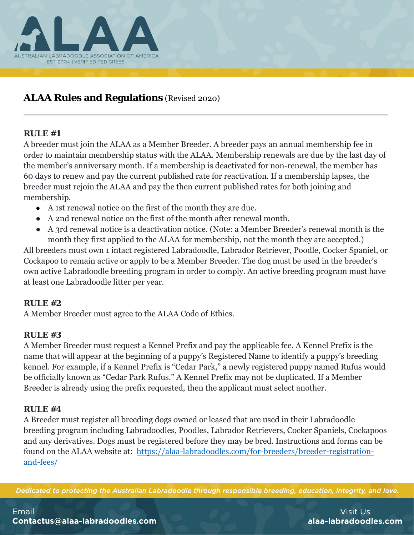

# **ALAA Rules and Regulations** (Revised 2020)

# **RULE #1**

A breeder must join the ALAA as a Member Breeder. A breeder pays an annual membership fee in order to maintain membership status with the ALAA. Membership renewals are due by the last day of the member's anniversary month. If a membership is deactivated for non-renewal, the member has 60 days to renew and pay the current published rate for reactivation. If a membership lapses, the breeder must rejoin the ALAA and pay the then current published rates for both joining and membership.

- A 1st renewal notice on the first of the month they are due.
- A 2nd renewal notice on the first of the month after renewal month.
- A 3rd renewal notice is a deactivation notice. (Note: a Member Breeder's renewal month is the month they first applied to the ALAA for membership, not the month they are accepted.)

All breeders must own 1 intact registered Labradoodle, Labrador Retriever, Poodle, Cocker Spaniel, or Cockapoo to remain active or apply to be a Member Breeder. The dog must be used in the breeder's own active Labradoodle breeding program in order to comply. An active breeding program must have at least one Labradoodle litter per year.

# **RULE #2**

A Member Breeder must agree to the ALAA Code of Ethics.

# **RULE #3**

A Member Breeder must request a Kennel Prefix and pay the applicable fee. A Kennel Prefix is the name that will appear at the beginning of a puppy's Registered Name to identify a puppy's breeding kennel. For example, if a Kennel Prefix is "Cedar Park," a newly registered puppy named Rufus would be officially known as "Cedar Park Rufus." A Kennel Prefix may not be duplicated. If a Member Breeder is already using the prefix requested, then the applicant must select another.

# **RULE #4**

A Breeder must register all breeding dogs owned or leased that are used in their Labradoodle breeding program including Labradoodles, Poodles, Labrador Retrievers, Cocker Spaniels, Cockapoos and any derivatives. Dogs must be registered before they may be bred. Instructions and forms can be found on the ALAA website at: https://alaa-labradoodles.com/for-breeders/breeder-registrationand-fees/

Dedicated to protecting the Australian Labradoodle through responsible breeding, education, integrity, and love.

Email Contactus@alaa-labradoodles.com

Visit Us alaa-labradoodles.com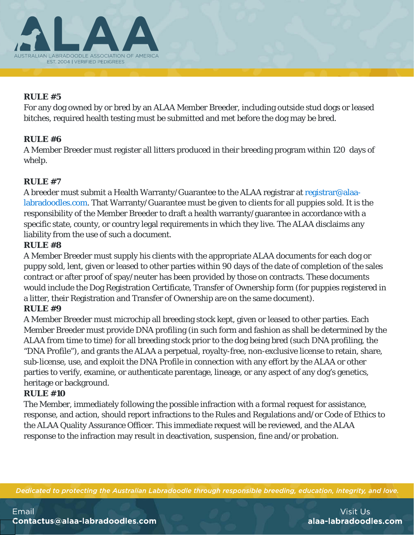

For any dog owned by or bred by an ALAA Member Breeder, including outside stud dogs or leased bitches, required health testing must be submitted and met before the dog may be bred.

# **RULE #6**

A Member Breeder must register all litters produced in their breeding program within 120 days of whelp.

# **RULE #7**

A breeder must submit a Health Warranty/Guarantee to the ALAA registrar at registrar@alaalabradoodles.com. That Warranty/Guarantee must be given to clients for all puppies sold. It is the responsibility of the Member Breeder to draft a health warranty/guarantee in accordance with a specific state, county, or country legal requirements in which they live. The ALAA disclaims any liability from the use of such a document.

# **RULE #8**

A Member Breeder must supply his clients with the appropriate ALAA documents for each dog or puppy sold, lent, given or leased to other parties within 90 days of the date of completion of the sales contract or after proof of spay/neuter has been provided by those on contracts. These documents would include the Dog Registration Certificate, Transfer of Ownership form (for puppies registered in a litter, their Registration and Transfer of Ownership are on the same document).

# **RULE #9**

A Member Breeder must microchip all breeding stock kept, given or leased to other parties. Each Member Breeder must provide DNA profiling (in such form and fashion as shall be determined by the ALAA from time to time) for all breeding stock prior to the dog being bred (such DNA profiling, the "DNA Profile"), and grants the ALAA a perpetual, royalty-free, non-exclusive license to retain, share, sub-license, use, and exploit the DNA Profile in connection with any effort by the ALAA or other parties to verify, examine, or authenticate parentage, lineage, or any aspect of any dog's genetics, heritage or background.

#### **RULE #10**

The Member, immediately following the possible infraction with a formal request for assistance, response, and action, should report infractions to the Rules and Regulations and/or Code of Ethics to the ALAA Quality Assurance Officer. This immediate request will be reviewed, and the ALAA response to the infraction may result in deactivation, suspension, fine and/or probation.

Dedicated to protecting the Australian Labradoodle through responsible breeding, education, integrity, and love.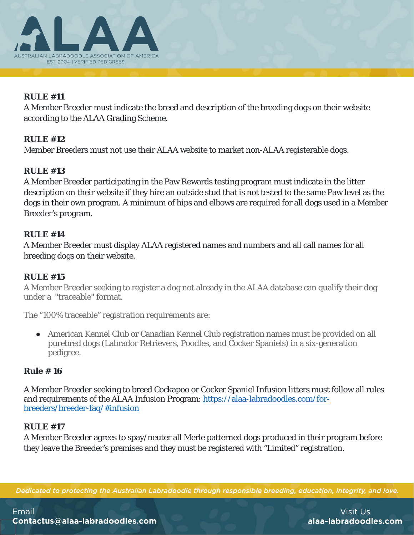

A Member Breeder must indicate the breed and description of the breeding dogs on their website according to the ALAA Grading Scheme.

## **RULE #12**

Member Breeders must not use their ALAA website to market non-ALAA registerable dogs.

## **RULE #13**

A Member Breeder participating in the Paw Rewards testing program must indicate in the litter description on their website if they hire an outside stud that is not tested to the same Paw level as the dogs in their own program. A minimum of hips and elbows are required for all dogs used in a Member Breeder's program.

#### **RULE #14**

A Member Breeder must display ALAA registered names and numbers and all call names for all breeding dogs on their website.

#### **RULE #15**

A Member Breeder seeking to register a dog not already in the ALAA database can qualify their dog under a "traceable" format.

The "100% traceable" registration requirements are:

● American Kennel Club or Canadian Kennel Club registration names must be provided on all purebred dogs (Labrador Retrievers, Poodles, and Cocker Spaniels) in a six-generation pedigree.

#### **Rule # 16**

A Member Breeder seeking to breed Cockapoo or Cocker Spaniel Infusion litters must follow all rules and requirements of the ALAA Infusion Program: https://alaa-labradoodles.com/forbreeders/breeder-faq/#infusion

#### **RULE #17**

A Member Breeder agrees to spay/neuter all Merle patterned dogs produced in their program before they leave the Breeder's premises and they must be registered with "Limited" registration.

Dedicated to protecting the Australian Labradoodle through responsible breeding, education, integrity, and love.

Email Contactus@alaa-labradoodles.com

Visit Us alaa-labradoodles.com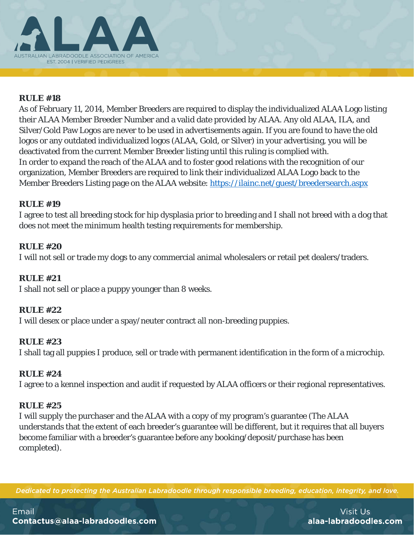

As of February 11, 2014, Member Breeders are required to display the individualized ALAA Logo listing their ALAA Member Breeder Number and a valid date provided by ALAA. Any old ALAA, ILA, and Silver/Gold Paw Logos are never to be used in advertisements again. If you are found to have the old logos or any outdated individualized logos (ALAA, Gold, or Silver) in your advertising, you will be deactivated from the current Member Breeder listing until this ruling is complied with. In order to expand the reach of the ALAA and to foster good relations with the recognition of our organization, Member Breeders are required to link their individualized ALAA Logo back to the Member Breeders Listing page on the ALAA website: https://ilainc.net/guest/breedersearch.aspx

#### **RULE #19**

I agree to test all breeding stock for hip dysplasia prior to breeding and I shall not breed with a dog that does not meet the minimum health testing requirements for membership.

#### **RULE #20**

I will not sell or trade my dogs to any commercial animal wholesalers or retail pet dealers/traders.

#### **RULE #21**

I shall not sell or place a puppy younger than 8 weeks.

#### **RULE #22**

I will desex or place under a spay/neuter contract all non-breeding puppies.

#### **RULE #23**

I shall tag all puppies I produce, sell or trade with permanent identification in the form of a microchip.

#### **RULE #24**

I agree to a kennel inspection and audit if requested by ALAA officers or their regional representatives.

#### **RULE #25**

I will supply the purchaser and the ALAA with a copy of my program's guarantee (The ALAA understands that the extent of each breeder's guarantee will be different, but it requires that all buyers become familiar with a breeder's guarantee before any booking/deposit/purchase has been completed).

Dedicated to protecting the Australian Labradoodle through responsible breeding, education, integrity, and love.